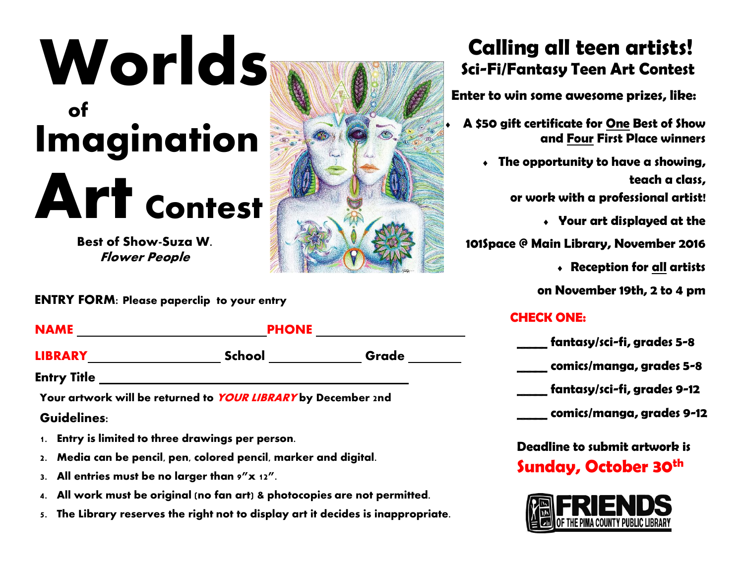# **Worlds of Imagination Art Contest**

**Best of Show-Suza W. Flower People**

**ENTRY FORM: Please paperclip to your entry**

| <b>NAME</b>    | <b>PHONE</b>  |       |
|----------------|---------------|-------|
| <b>LIBRARY</b> | <b>School</b> | Grade |
| —<br>__        |               |       |

**Entry Title** 

**Your artwork will be returned to YOUR LIBRARY by December 2nd Guidelines:**

- **1. Entry is limited to three drawings per person.**
- **2. Media can be pencil, pen, colored pencil, marker and digital.**
- **3. All entries must be no larger than 9"x 12".**
- **4. All work must be original (no fan art) & photocopies are not permitted.**
- **5. The Library reserves the right not to display art it decides is inappropriate.**

## **Calling all teen artists! Sci-Fi/Fantasy Teen Art Contest**

 **Enter to win some awesome prizes, like:** 

- **A \$50 gift certificate for One Best of Show and Four First Place winners**
	- **The opportunity to have a showing, teach a class,**

**or work with a professional artist!**

**Your art displayed at the** 

**101Space @ Main Library, November 2016** 

**Reception for all artists** 

**on November 19th, 2 to 4 pm**

#### **CHECK ONE:**

| fantasy/sci-fi, grades 5-8  |
|-----------------------------|
| comics/manga, grades 5-8    |
| fantasy/sci-fi, grades 9-12 |
| comics/manga, grades 9-12   |

**Deadline to submit artwork is Sunday, October 30th**